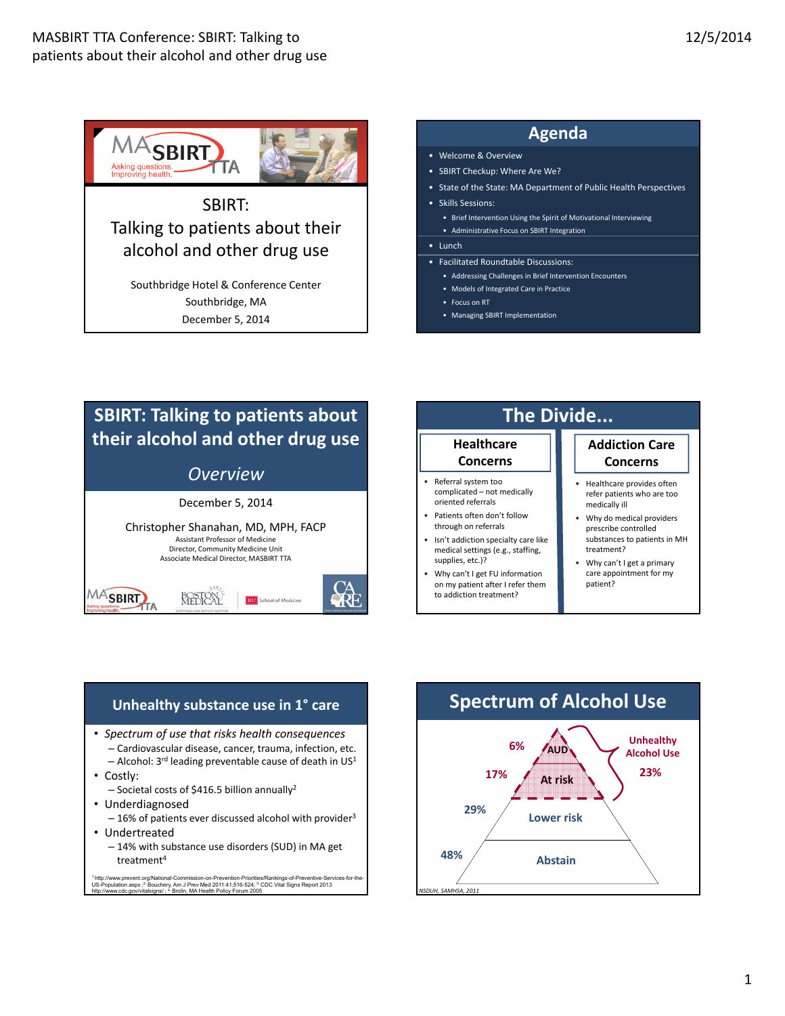

SBIRT: Talking to patients about their alcohol and other drug use

Southbridge Hotel & Conference Center Southbridge, MA December 5, 2014

# **Agenda**

- Welcome & Overview
- SBIRT Checkup: Where Are We?
- State of the State: MA Department of Public Health Perspectives
- Skills Sessions:
	- Brief Intervention Using the Spirit of Motivational Interviewing
	- Administrative Focus on SBIRT Integration
- Lunch
- Facilitated Roundtable Discussions:
	- Addressing Challenges in Brief Intervention Encounters
	- Models of Integrated Care in Practice
	- Focus on RT • Managing SBIRT Implementation

to addiction treatment?

# **SBIRT: Talking to patients about their alcohol and other drug use**

# *Overview*



#### **Healthcare Concerns Addiction Care Concerns** • Referral system too complicated – not medically oriented referrals Patients often don't follow through on referrals • Isn't addiction specialty care like medical settings (e.g., staffing, supplies, etc.)? • Why can't I get FU information on my patient after I refer them • Healthcare provides often refer patients who are too medically ill • Why do medical providers prescribe controlled substances to patients in MH treatment? • Why can't I get a primary care appointment for my patient? **The Divide...**

# **Unhealthy substance use in 1° care**

- *Spectrum of use that risks health consequences* – Cardiovascular disease, cancer, trauma, infection, etc.
- $-$  Alcohol: 3<sup>rd</sup> leading preventable cause of death in US<sup>1</sup>
- Costly:
	- $-$  Societal costs of \$416.5 billion annually<sup>2</sup>
- Underdiagnosed
	- $-16%$  of patients ever discussed alcohol with provider<sup>3</sup>
- Undertreated
	- 14% with substance use disorders (SUD) in MA get treatment4

† http://www.prevent.org/National-Commission-on-Prevention-Priorities/Rankings-of-Preventive-Services-for-the-<br>US-Population.aspx :<sup>2</sup> Bouchery, Am J Prev Med 2011:41;516-524; <sup>s.</sup> CDC Vital Signs Report 2013<br>http://www.

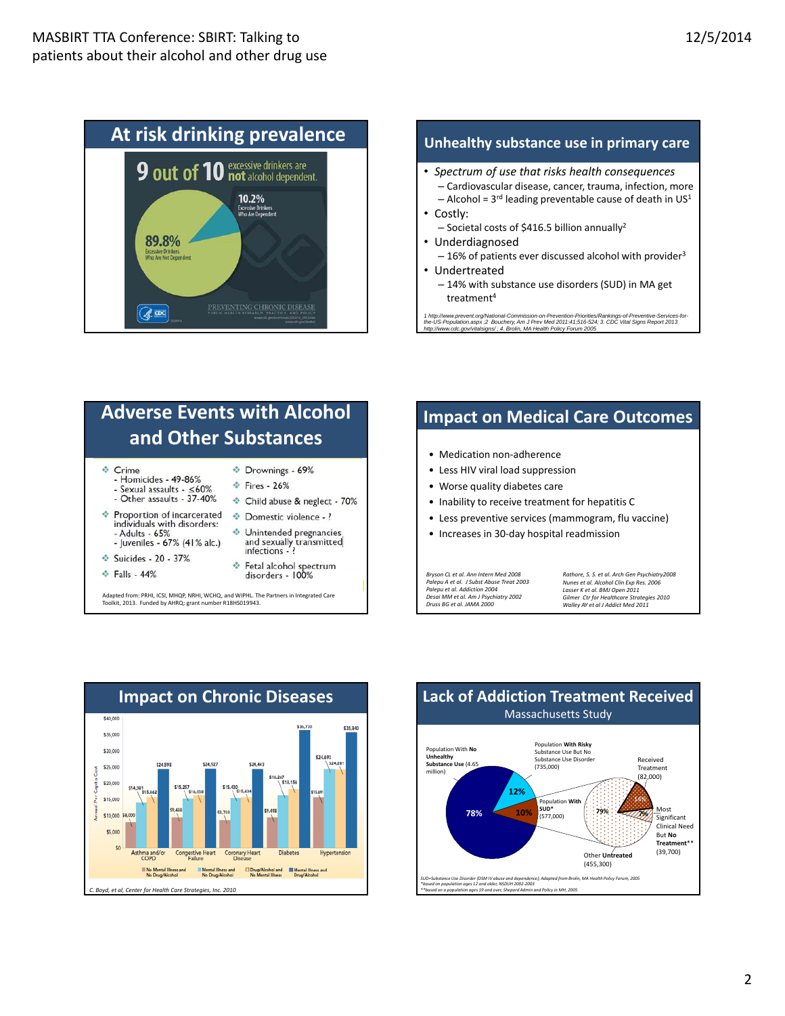

- *Spectrum of use that risks health consequences* – Cardiovascular disease, cancer, trauma, infection, more  $-$  Alcohol = 3<sup>rd</sup> leading preventable cause of death in US<sup>1</sup>
- Costly:
	- Societal costs of \$416.5 billion annually2
- Underdiagnosed
	- $-16%$  of patients ever discussed alcohol with provider<sup>3</sup> • Undertreated
	- 14% with substance use disorders (SUD) in MA get treatment4

1 http://www.prevent.org/National-Commission-on-Prevention-Priorities/Rankings-of-Preventive-Services-for-<br>the-US-Population.aspx ;2 Bouchery, Am J Prev Med 2011:41;516-524; 3. CDC Vital Signs Report 2013<br>http://www.cdc.go

#### **Adverse Events with Alcohol and Other Substances** † Crime \* Drownings - 69% - Homicides - 49-86% **↑** Fires - 26% - Sexual assaults -  $\leq 60\%$ - Other assaults - 37-40% Child abuse & neglect - 70% Proportion of incarcerated ◆ Domestic violence - ? individuals with disorders: ↔ Unintended pregnancies<br>and sexually transmitted<br>infections - ? - Adults - 65% - Juveniles - 67% (41% alc.) Suicides - 20 - 37% ❖ Fetal alcohol spectrum<br>disorders - 100% **&** Falls - 44% Adapted from: PRHI, ICSI, MHQP, NRHI, WCHQ, and WIPHL. The Partners in Integrated Care Toolkit, 2013. Funded by AHRQ; grant number R18HS019943.

# **Impact on Medical Care Outcomes**

- Medication non‐adherence
- Less HIV viral load suppression
- Worse quality diabetes care
- Inability to receive treatment for hepatitis C
- Less preventive services (mammogram, flu vaccine)
- Increases in 30‐day hospital readmission

*Bryson CL et al. Ann Intern Med 2008 Palepu A et al. J Subst Abuse Treat 2003 Palepu et al. Addiction 2004 Desai MM et al. Am J Psychiatry 2002 Druss BG et al. JAMA 2000* 

*Rathore, S. S. et al. Arch Gen Psychiatry2008 Nunes et al. Alcohol Clin Exp Res. 2006 Lasser K et al. BMJ Open 2011 Gilmer Ctr for Healthcare Strategies 2010 Walley AY et al J Addict Med 2011*



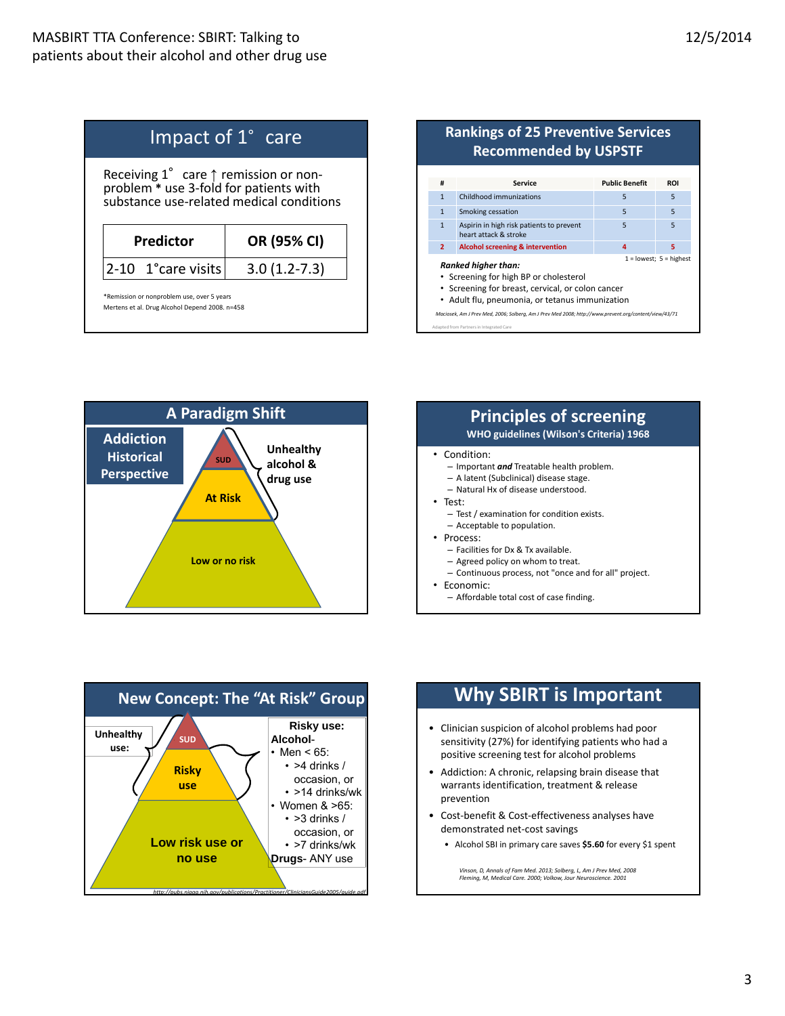| Receiving $1^\circ$ care $\uparrow$ remission or non-<br>problem * use 3-fold for patients with<br>substance use-related medical conditions |             |  |  |
|---------------------------------------------------------------------------------------------------------------------------------------------|-------------|--|--|
| Predictor                                                                                                                                   | OR (95% CI) |  |  |
|                                                                                                                                             |             |  |  |

# **Rankings of 25 Preventive Services Recommended by USPSTF**

| #                                                                                                                                                                                                                                                                                                             | <b>Service</b>                                                    | <b>Public Benefit</b> | <b>ROI</b> |  |
|---------------------------------------------------------------------------------------------------------------------------------------------------------------------------------------------------------------------------------------------------------------------------------------------------------------|-------------------------------------------------------------------|-----------------------|------------|--|
| $\mathbf{1}$                                                                                                                                                                                                                                                                                                  | Childhood immunizations                                           | 5                     | 5          |  |
| $\mathbf{1}$                                                                                                                                                                                                                                                                                                  | Smoking cessation                                                 | 5                     | 5          |  |
| $\mathbf{1}$                                                                                                                                                                                                                                                                                                  | Aspirin in high risk patients to prevent<br>heart attack & stroke | 5                     | 5          |  |
| $\overline{2}$                                                                                                                                                                                                                                                                                                | <b>Alcohol screening &amp; intervention</b>                       | Δ                     | 5          |  |
| $1 =$ lowest; $5 =$ highest<br>Ranked higher than:<br>• Screening for high BP or cholesterol<br>• Screening for breast, cervical, or colon cancer<br>• Adult flu, pneumonia, or tetanus immunization<br>Maciosek, Am J Prev Med, 2006; Solberg, Am J Prev Med 2008; http://www.prevent.org/content/view/43/71 |                                                                   |                       |            |  |



# **Principles of screening WHO guidelines (Wilson's Criteria) 1968**

#### • Condition:

Adapted from Partnersin Integrated Care

- Important *and* Treatable health problem.
- A latent (Subclinical) disease stage.
- Natural Hx of disease understood.
- Test:
	- Test / examination for condition exists.
	- Acceptable to population.
- Process:
	- Facilities for Dx & Tx available.
	- Agreed policy on whom to treat.
	- Continuous process, not "once and for all" project.
- Economic:
	- Affordable total cost of case finding.



# **Why SBIRT is Important**

- Clinician suspicion of alcohol problems had poor sensitivity (27%) for identifying patients who had a positive screening test for alcohol problems
- Addiction: A chronic, relapsing brain disease that warrants identification, treatment & release prevention
- Cost‐benefit & Cost‐effectiveness analyses have demonstrated net‐cost savings
	- Alcohol SBI in primary care saves **\$5.60** for every \$1 spent

*Vinson, D, Annals of Fam Med. 2013; Solberg, L, Am J Prev Med, 2008 Fleming, M, Medical Care. 2000; Volkow, Jour Neuroscience. 2001*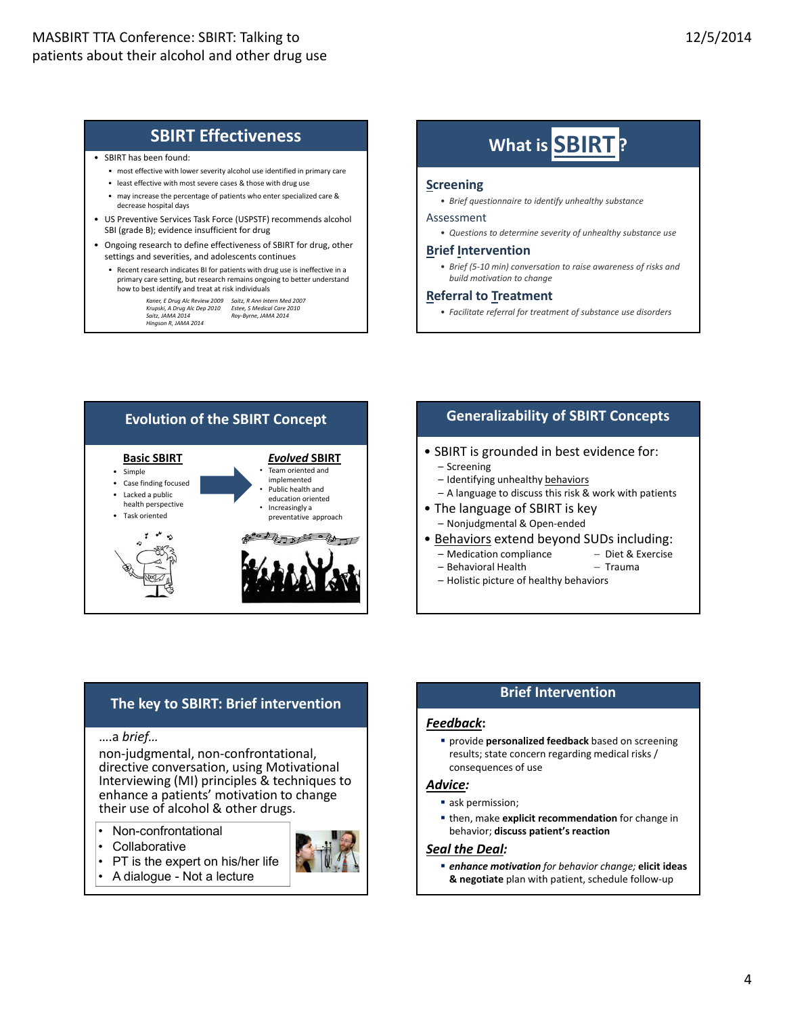- SBIRT has been found:
	- most effective with lower severity alcohol use identified in primary care
	- least effective with most severe cases & those with drug use
	- may increase the percentage of patients who enter specialized care & decrease hospital days
- US Preventive Services Task Force (USPSTF) recommends alcohol SBI (grade B); evidence insufficient for drug
- Ongoing research to define effectiveness of SBIRT for drug, other settings and severities, and adolescents continues
	- Recent research indicates BI for patients with drug use is ineffective in a primary care setting, but research remains ongoing to better understand how to best identify and treat at risk individuals
		- *Kaner, E Drug Alc Review 2009 Saitz, R Ann Intern Med 2007 Krupski, A Drug Alc Dep 2010 Estee, S Medical Care 2010 Saitz, JAMA 2014 Roy‐Byrne, JAMA 2014 Hingson R, JAMA 2014*

# **SBIRT Effectiveness What is SBIRT ? SBIRT**

#### **Screening**

• *Brief questionnaire to identify unhealthy substance*

#### Assessment

• *Questions to determine severity of unhealthy substance use*

#### **Brief Intervention**

• *Brief (5‐10 min) conversation to raise awareness of risks and build motivation to change*

#### **Referral to Treatment**

• *Facilitate referral for treatment of substance use disorders*



## **Generalizability of SBIRT Concepts**

- SBIRT is grounded in best evidence for:
	- Screening
	- Identifying unhealthy behaviors
	- A language to discuss this risk & work with patients
- The language of SBIRT is key – Nonjudgmental & Open‐ended
- Behaviors extend beyond SUDs including:
	- Medication compliance − Diet & Exercise

– Behavioral Health − Trauma

- 
- Holistic picture of healthy behaviors

## **The key to SBIRT: Brief intervention**

#### ….a *brief…*

non‐judgmental, non‐confrontational, directive conversation, using Motivational Interviewing (MI) principles & techniques to enhance a patients' motivation to change their use of alcohol & other drugs.

• Non-confrontational

• PT is the expert on his/her life • A dialogue - Not a lecture

**Collaborative** 



## **Brief Intervention**

#### *Feedback***:**

 provide **personalized feedback** based on screening results; state concern regarding medical risks / consequences of use

#### *Advice:*

- ask permission;
- then, make **explicit recommendation** for change in behavior; **discuss patient's reaction**

### *Seal the Deal:*

 *enhance motivation for behavior change;* **elicit ideas & negotiate** plan with patient, schedule follow‐up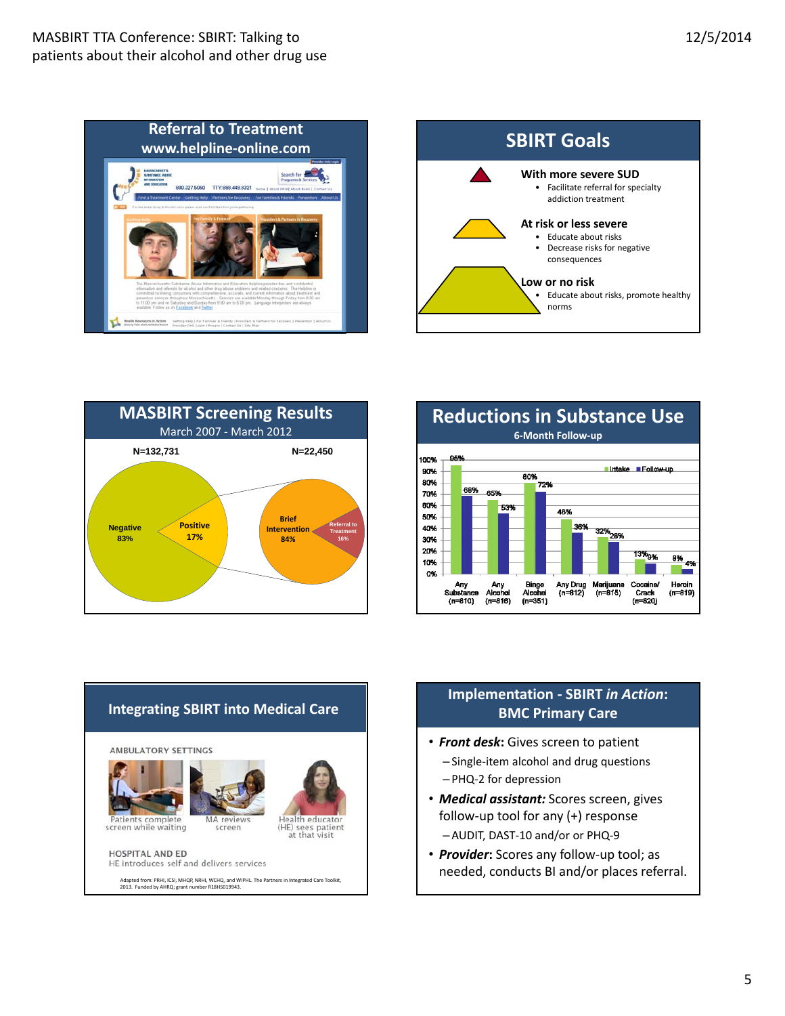







# **Integrating SBIRT into Medical Care**

AMBULATORY SETTINGS





lealth educator (HE) sees patient<br>at that visit

**HOSPITAL AND ED** HE introduces self and delivers services

Adapted from: PRHI, ICSI, MHQP, NRHI, WCHQ, and WIPHL. The Partners in Integrated Care Toolkit, 2013. Funded by AHRQ; grant number R18HS019943.

# **Implementation ‐ SBIRT** *in Action***: BMC Primary Care**

- *Front desk***:** Gives screen to patient
	- Single‐item alcohol and drug questions
	- PHQ‐2 for depression
- *Medical assistant:* Scores screen, gives follow‐up tool for any (+) response – AUDIT, DAST‐10 and/or or PHQ‐9
- *Provider***:** Scores any follow‐up tool; as needed, conducts BI and/or places referral.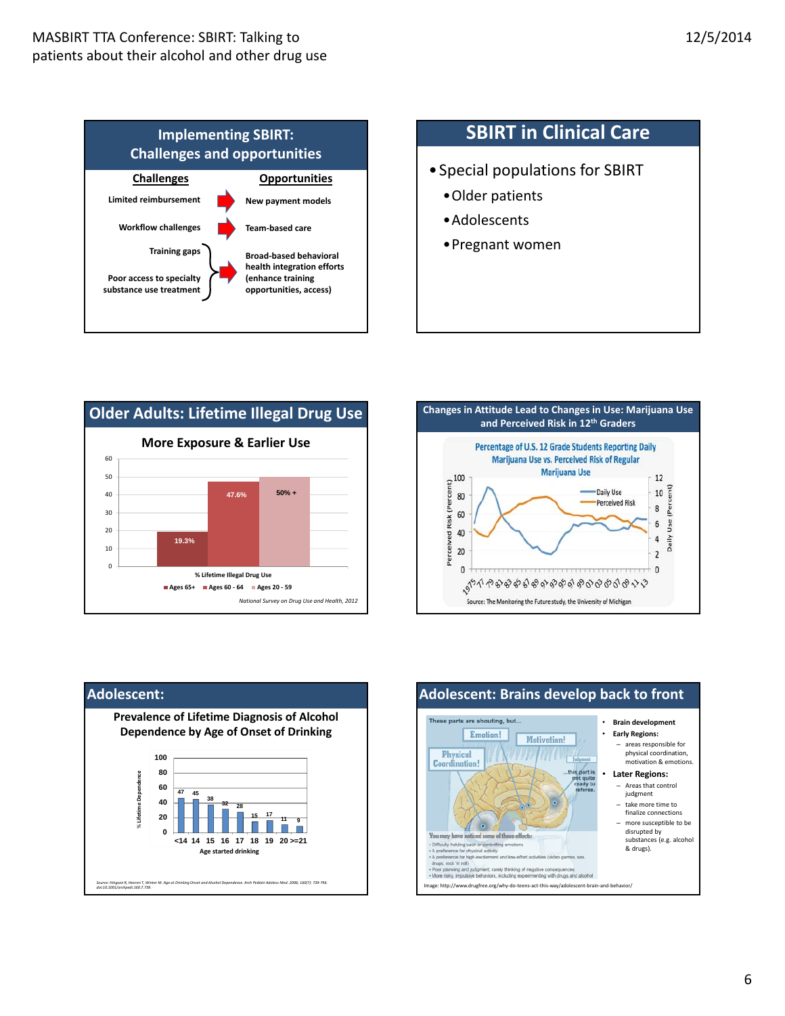

# **SBIRT in Clinical Care**

- •Special populations for SBIRT
	- •Older patients
	- •Adolescents
	- •Pregnant women







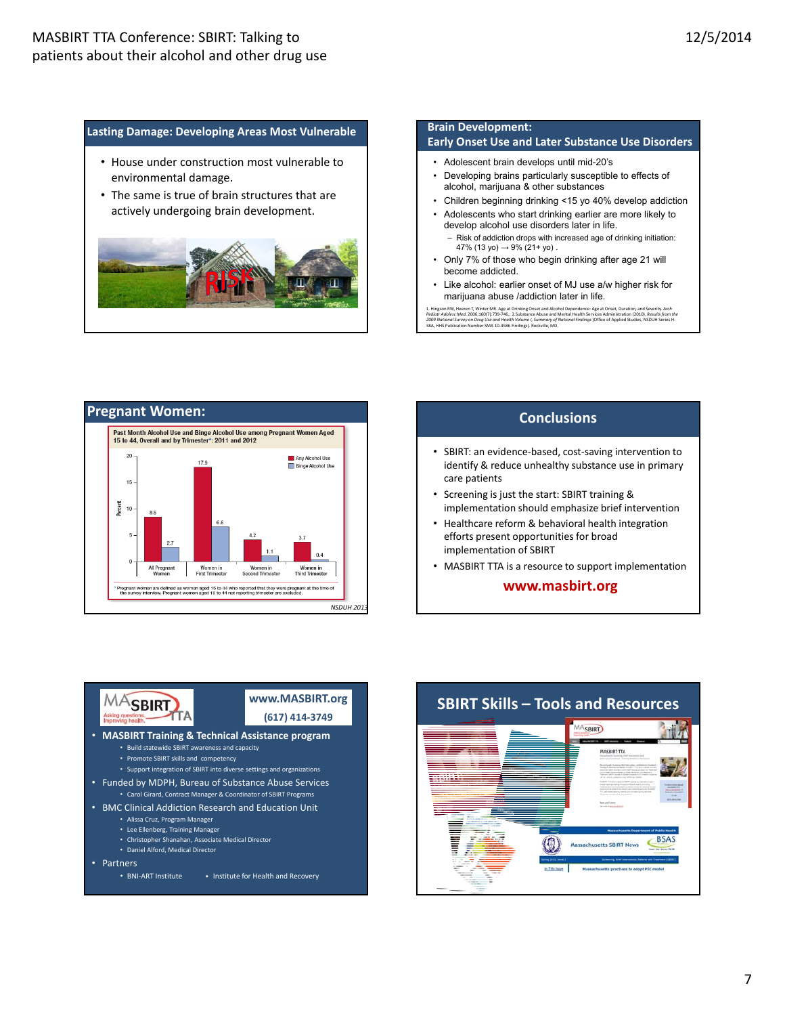#### **Lasting Damage: Developing Areas Most Vulnerable**

- House under construction most vulnerable to environmental damage.
- The same is true of brain structures that are actively undergoing brain development.



#### **Brain Development:**

#### **Early Onset Use and Later Substance Use Disorders**

- Adolescent brain develops until mid-20's
- Developing brains particularly susceptible to effects of alcohol, marijuana & other substances
- Children beginning drinking <15 yo 40% develop addiction
- Adolescents who start drinking earlier are more likely to develop alcohol use disorders later in life.
	- Risk of addiction drops with increased age of drinking initiation: 47% (13 yo)  $\rightarrow$  9% (21+ yo).
- Only 7% of those who begin drinking after age 21 will become addicted.
- Like alcohol: earlier onset of MJ use a/w higher risk for marijuana abuse /addiction later in life.

1. Hingson RW, Heeren T, Winter MR. Age at Drinking Onset and Alcohol Dependence: Age at Onset Duration, and Severity. Arch<br>Pediotr Adolesc Med. 2006;160(7):739-746; 2 Substance Abuse and Mental Health Services Administrat



# Conclusions **Conclusions**

- SBIRT: an evidence‐based, cost‐saving intervention to identify & reduce unhealthy substance use in primary care patients
- Screening is just the start: SBIRT training & implementation should emphasize brief intervention
- Healthcare reform & behavioral health integration efforts present opportunities for broad implementation of SBIRT
- MASBIRT TTA is a resource to support implementation

**www.masbirt.org**

### **SBIRT** TA

# **www.MASBIRT.org**

- **MASBIRT Training & Technical Assistance program (617) 414‐3749**
	- Build statewide SBIRT awareness and capacity
	- Promote SBIRT skills and competency
	- Support integration of SBIRT into diverse settings and organizations
- Funded by MDPH, Bureau of Substance Abuse Services • Carol Girard, Contract Manager & Coordinator of SBIRT Programs
- BMC Clinical Addiction Research and Education Unit
	- Alissa Cruz, Program Manager
	- Lee Ellenberg, Training Manager
	- Christopher Shanahan, Associate Medical Director • Daniel Alford, Medical Director
- Partners

• BNI-ART Institute • Institute for Health and Recovery